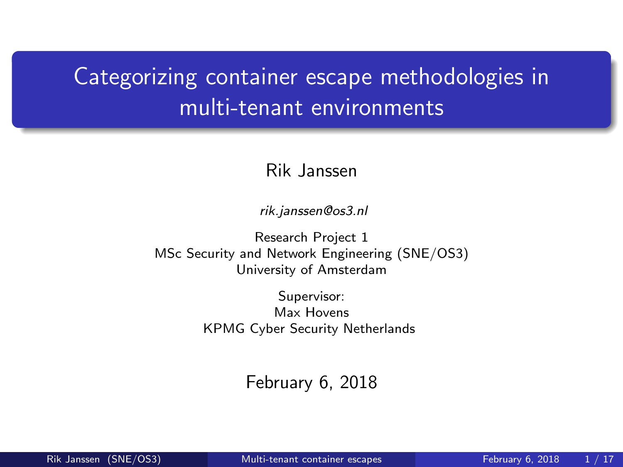# <span id="page-0-0"></span>Categorizing container escape methodologies in multi-tenant environments

#### Rik Janssen

rik.janssen@os3.nl

Research Project 1 MSc Security and Network Engineering (SNE/OS3) University of Amsterdam

> Supervisor: Max Hovens KPMG Cyber Security Netherlands

> > February 6, 2018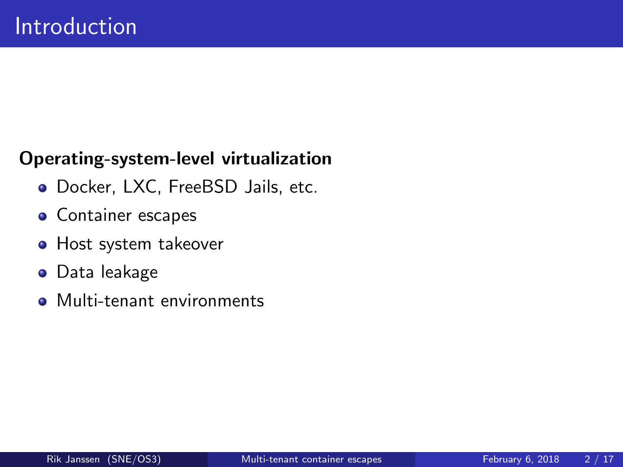#### Operating-system-level virtualization

- Docker, LXC, FreeBSD Jails, etc.
- Container escapes
- **•** Host system takeover
- Data leakage
- **Multi-tenant environments**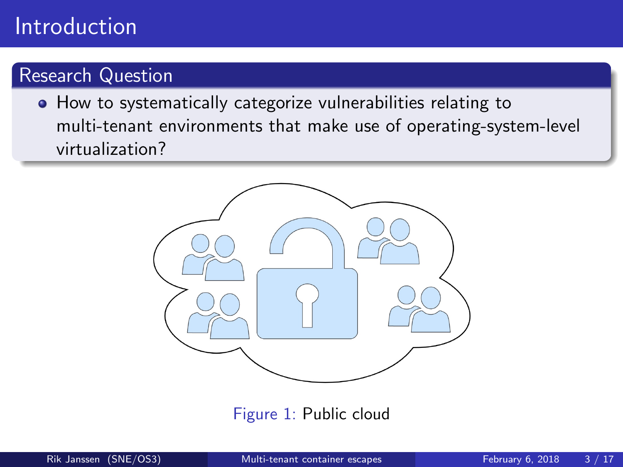# Introduction

### Research Question

**• How to systematically categorize vulnerabilities relating to** multi-tenant environments that make use of operating-system-level virtualization?



Figure 1: Public cloud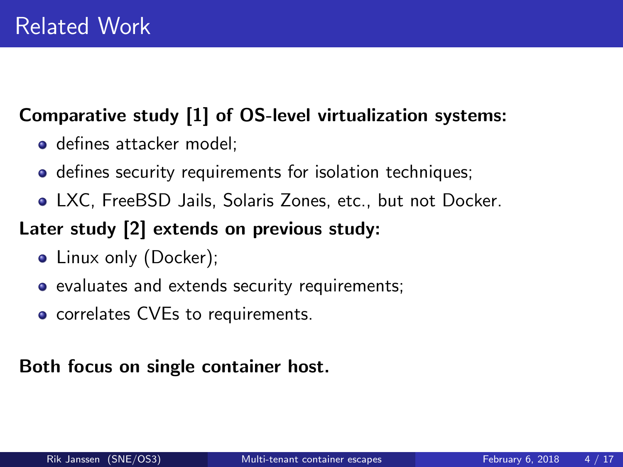### Comparative study [\[1\]](#page-15-0) of OS-level virtualization systems:

- **o** defines attacker model:
- **o** defines security requirements for isolation techniques;
- LXC, FreeBSD Jails, Solaris Zones, etc., but not Docker.

### Later study [\[2\]](#page-15-1) extends on previous study:

- Linux only (Docker);
- evaluates and extends security requirements;
- correlates CVEs to requirements.

#### Both focus on single container host.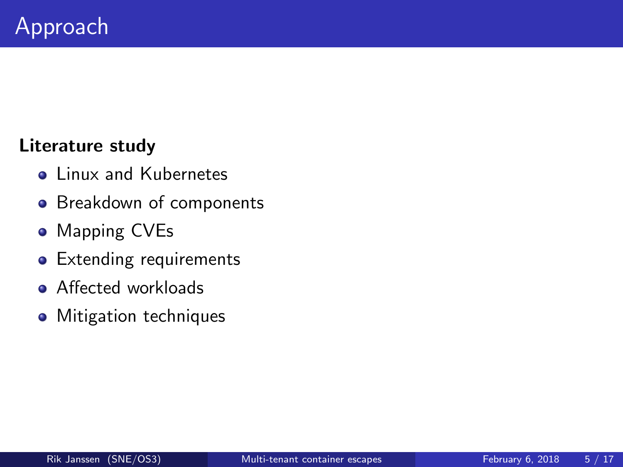#### Literature study

- **o** Linux and Kubernetes
- **•** Breakdown of components
- Mapping CVEs
- **•** Extending requirements
- **•** Affected workloads
- Mitigation techniques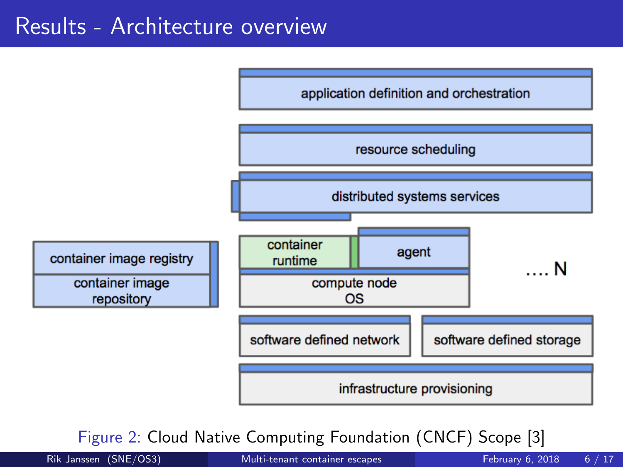# Results - Architecture overview



Figure 2: Cloud Native Computing Foundation (CNCF) Scope [\[3\]](#page-15-2)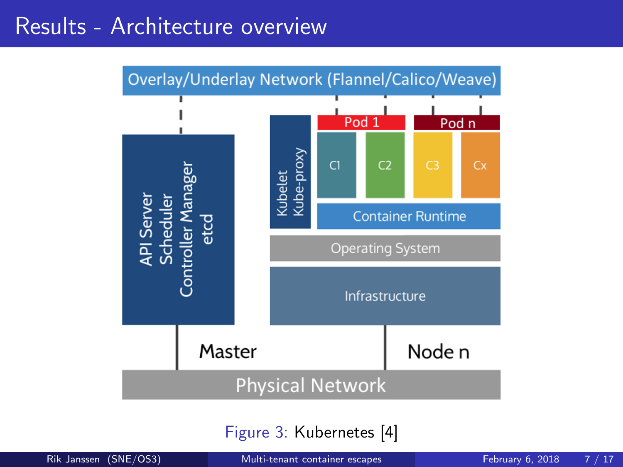# Results - Architecture overview



Figure 3: Kubernetes [\[4\]](#page-15-3)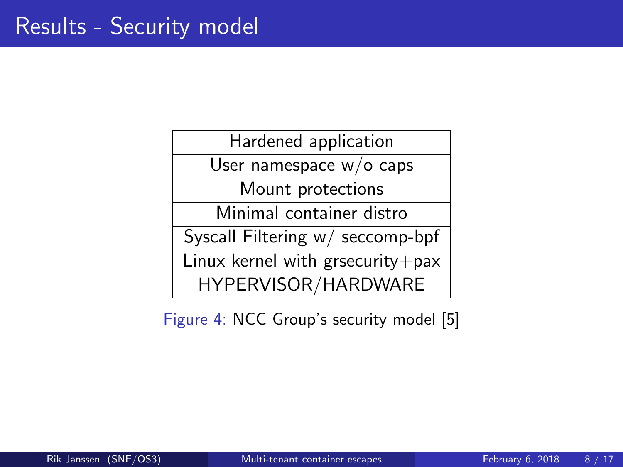Hardened application

User namespace w/o caps

Mount protections

Minimal container distro

Syscall Filtering w/ seccomp-bpf

Linux kernel with grsecurity $+$ pax

HYPERVISOR/HARDWARE

Figure 4: NCC Group's security model [\[5\]](#page-16-1)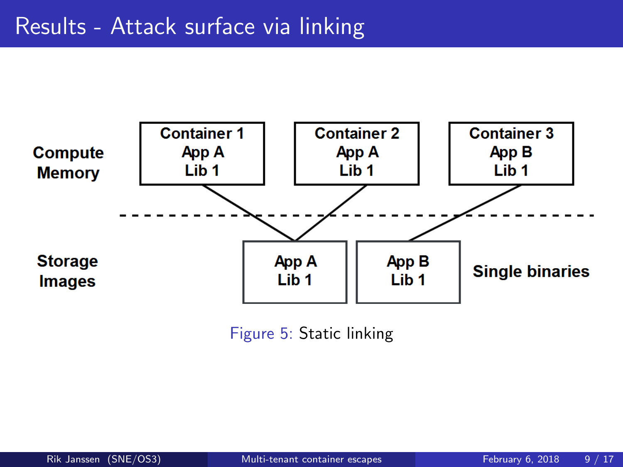

Figure 5: Static linking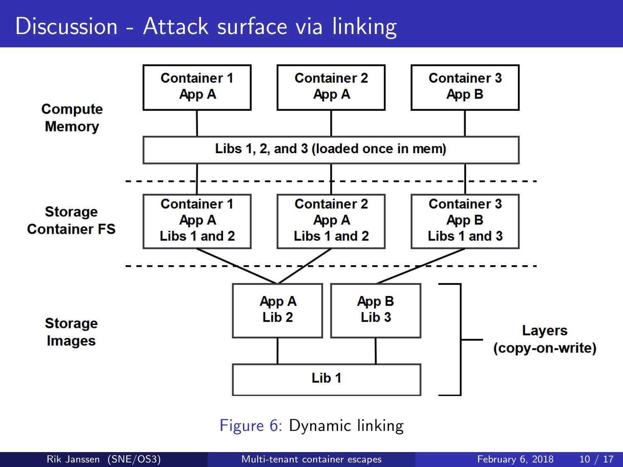# Discussion - Attack surface via linking



Figure 6: Dynamic linking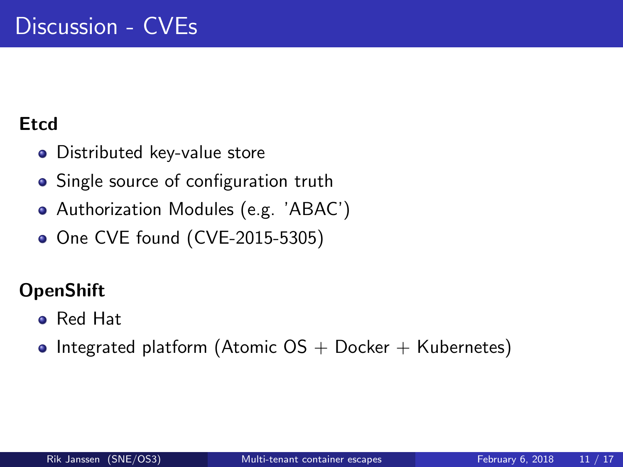### **Etcd**

- **•** Distributed key-value store
- Single source of configuration truth
- Authorization Modules (e.g. 'ABAC')
- One CVE found (CVE-2015-5305)

### **OpenShift**

- Red Hat
- Integrated platform (Atomic  $OS + Docker + Kubernetes)$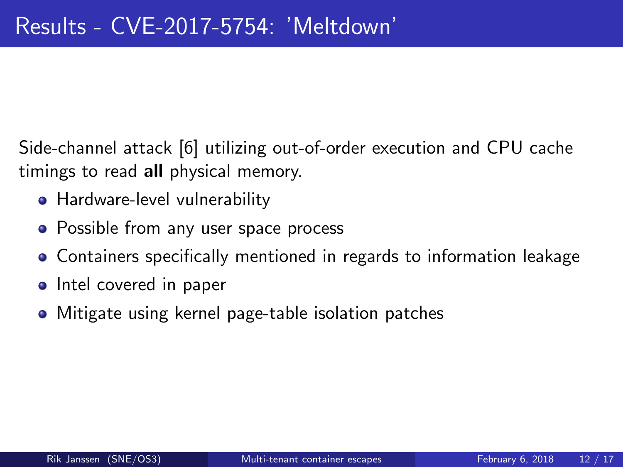Side-channel attack [\[6\]](#page-16-2) utilizing out-of-order execution and CPU cache timings to read all physical memory.

- Hardware-level vulnerability
- Possible from any user space process
- Containers specifically mentioned in regards to information leakage
- Intel covered in paper
- Mitigate using kernel page-table isolation patches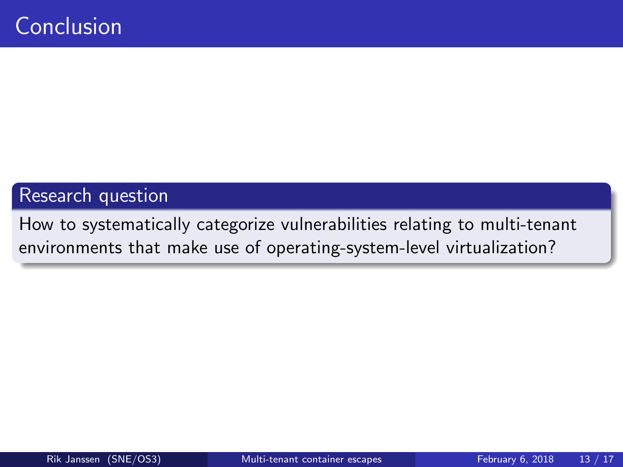#### Research question

How to systematically categorize vulnerabilities relating to multi-tenant environments that make use of operating-system-level virtualization?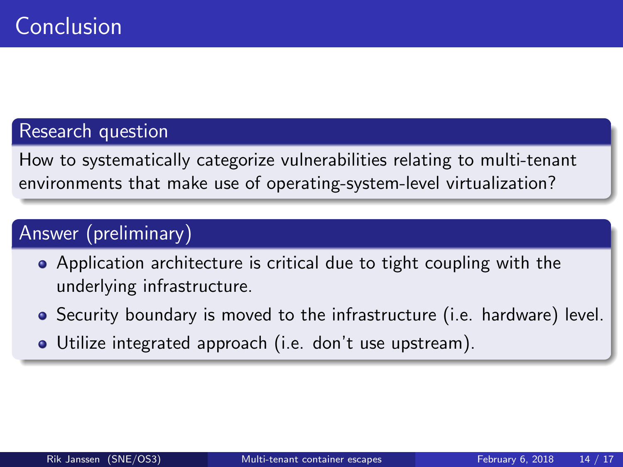### Research question

How to systematically categorize vulnerabilities relating to multi-tenant environments that make use of operating-system-level virtualization?

### Answer (preliminary)

- Application architecture is critical due to tight coupling with the underlying infrastructure.
- Security boundary is moved to the infrastructure (i.e. hardware) level.
- Utilize integrated approach (i.e. don't use upstream).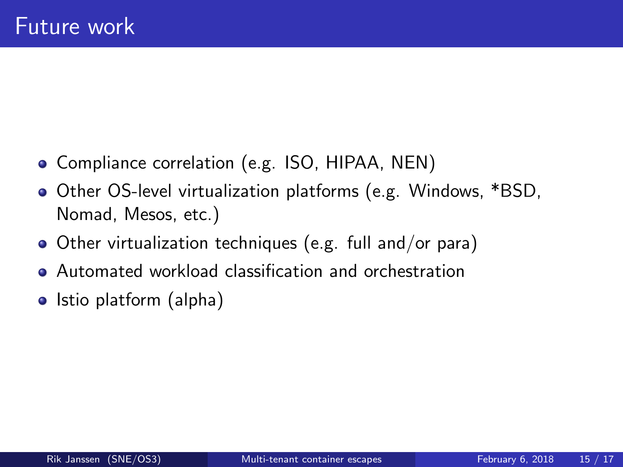- Compliance correlation (e.g. ISO, HIPAA, NEN)
- Other OS-level virtualization platforms (e.g. Windows, \*BSD, Nomad, Mesos, etc.)
- Other virtualization techniques (e.g. full and/or para)
- **Automated workload classification and orchestration**
- $\bullet$  Istio platform (alpha)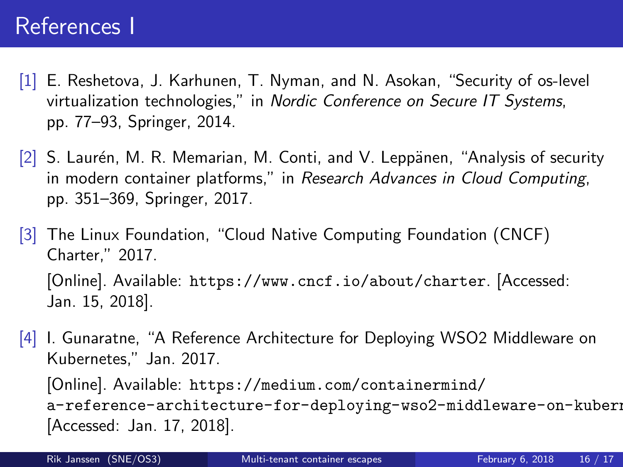### References I

- <span id="page-15-0"></span>[1] E. Reshetova, J. Karhunen, T. Nyman, and N. Asokan, "Security of os-level virtualization technologies," in Nordic Conference on Secure IT Systems, pp. 77–93, Springer, 2014.
- <span id="page-15-1"></span> $[2]$  S. Laurén, M. R. Memarian, M. Conti, and V. Leppänen, "Analysis of security in modern container platforms," in Research Advances in Cloud Computing, pp. 351–369, Springer, 2017.
- <span id="page-15-2"></span>[3] The Linux Foundation, "Cloud Native Computing Foundation (CNCF) Charter," 2017. [Online]. Available: <https://www.cncf.io/about/charter>. [Accessed: Jan. 15, 2018].
- <span id="page-15-3"></span>[4] I. Gunaratne, "A Reference Architecture for Deploying WSO2 Middleware on Kubernetes," Jan. 2017.

[Online]. Available: [https://medium.com/containermind/](https://medium.com/containermind/a-reference-architecture-for-deploying-wso2-middleware-on-kubernetes-d4dee7601e8e) a-reference-architecture-for-deploying-wso2-middleware-on-kubern [Accessed: Jan. 17, 2018].